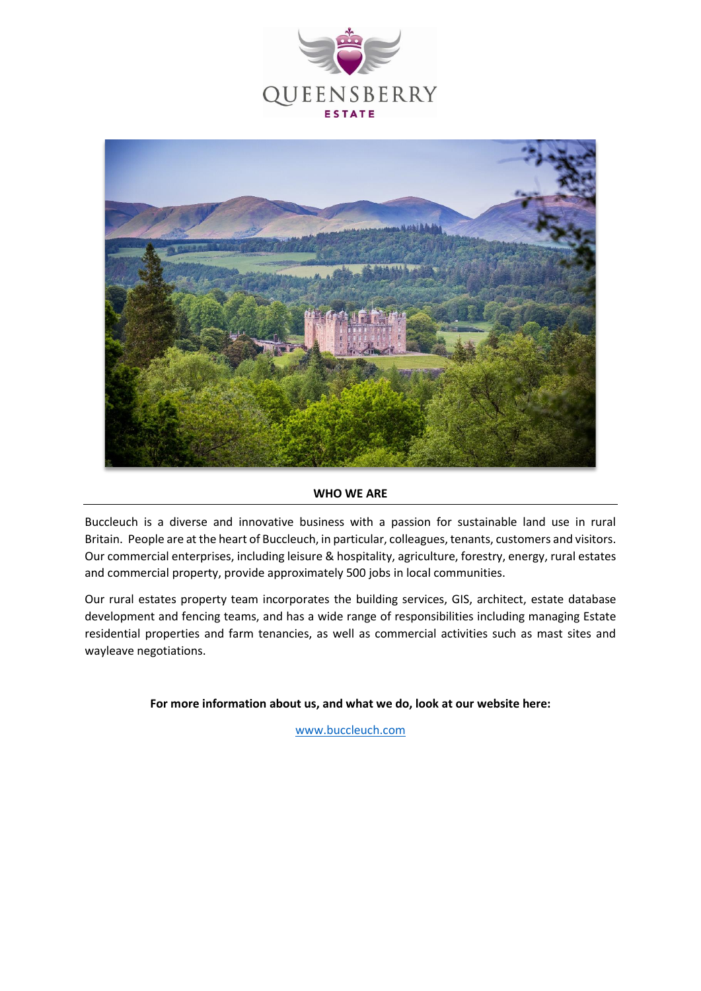



# **WHO WE ARE**

Buccleuch is a diverse and innovative business with a passion for sustainable land use in rural Britain. People are at the heart of Buccleuch, in particular, colleagues, tenants, customers and visitors. Our commercial enterprises, including leisure & hospitality, agriculture, forestry, energy, rural estates and commercial property, provide approximately 500 jobs in local communities.

Our rural estates property team incorporates the building services, GIS, architect, estate database development and fencing teams, and has a wide range of responsibilities including managing Estate residential properties and farm tenancies, as well as commercial activities such as mast sites and wayleave negotiations.

**For more information about us, and what we do, look at our website here:**

[www.buccleuch.com](http://www.buccleuch.com/)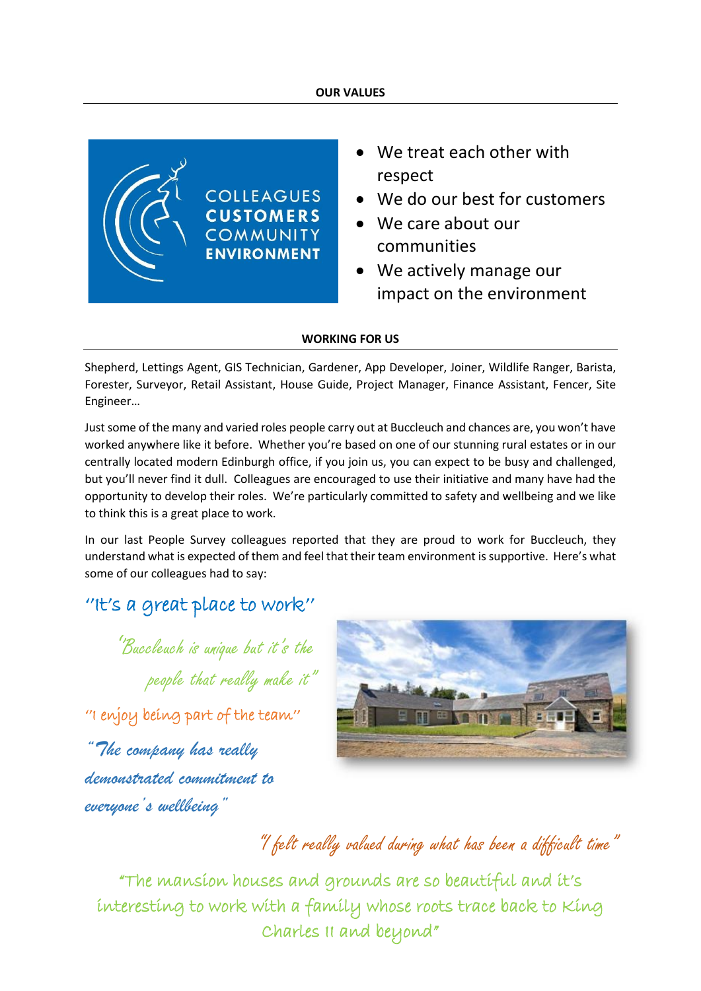#### **OUR VALUES**



- We treat each other with respect
- We do our best for customers
- We care about our communities
- We actively manage our impact on the environment

# **WORKING FOR US**

Shepherd, Lettings Agent, GIS Technician, Gardener, App Developer, Joiner, Wildlife Ranger, Barista, Forester, Surveyor, Retail Assistant, House Guide, Project Manager, Finance Assistant, Fencer, Site Engineer…

Just some of the many and varied roles people carry out at Buccleuch and chances are, you won't have worked anywhere like it before. Whether you're based on one of our stunning rural estates or in our centrally located modern Edinburgh office, if you join us, you can expect to be busy and challenged, but you'll never find it dull. Colleagues are encouraged to use their initiative and many have had the opportunity to develop their roles. We're particularly committed to safety and wellbeing and we like to think this is a great place to work.

In our last People Survey colleagues reported that they are proud to work for Buccleuch, they understand what is expected of them and feel that their team environment is supportive. Here's what some of our colleagues had to say:

# ''It's a great place to work''

''Buccleuch is unique but it's the people that really make it" ''I enjoy being part of the team'' *"The company has really* 

*demonstrated commitment to everyone's wellbeing"*



# "I felt really valued during what has been a difficult time"

"The mansion houses and grounds are so beautiful and it's interesting to work with a family whose roots trace back to King Charles II and beyond"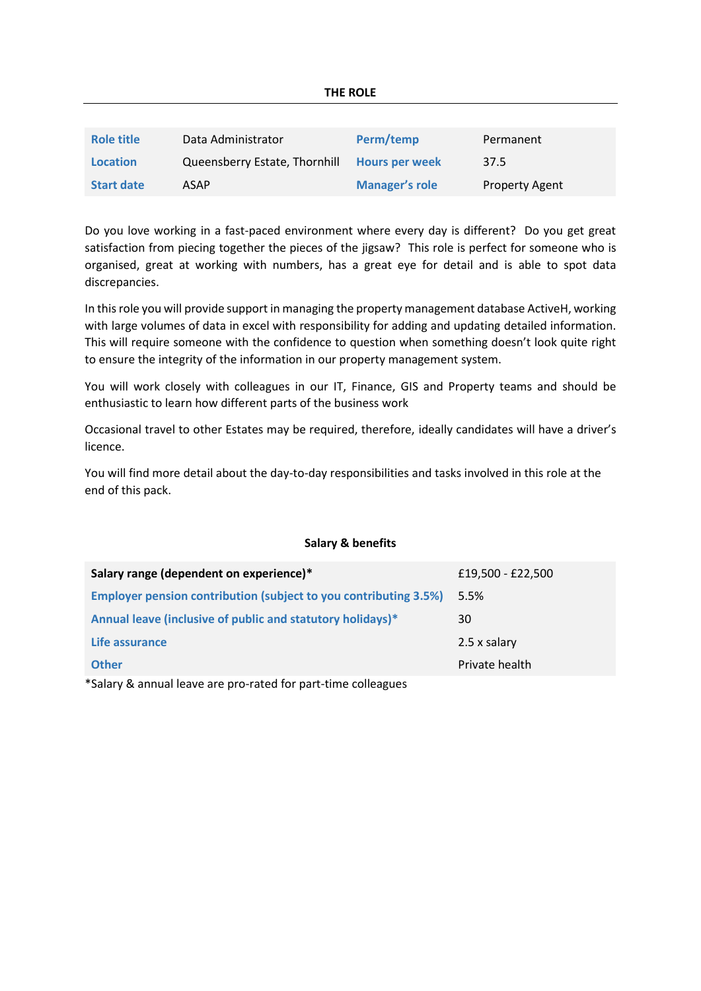| <b>Role title</b> | Data Administrator            | Perm/temp             | Permanent             |
|-------------------|-------------------------------|-----------------------|-----------------------|
| <b>Location</b>   | Queensberry Estate, Thornhill | <b>Hours per week</b> | 37.5                  |
| <b>Start date</b> | ASAP                          | <b>Manager's role</b> | <b>Property Agent</b> |

Do you love working in a fast-paced environment where every day is different? Do you get great satisfaction from piecing together the pieces of the jigsaw? This role is perfect for someone who is organised, great at working with numbers, has a great eye for detail and is able to spot data discrepancies.

In this role you will provide support in managing the property management database ActiveH, working with large volumes of data in excel with responsibility for adding and updating detailed information. This will require someone with the confidence to question when something doesn't look quite right to ensure the integrity of the information in our property management system.

You will work closely with colleagues in our IT, Finance, GIS and Property teams and should be enthusiastic to learn how different parts of the business work

Occasional travel to other Estates may be required, therefore, ideally candidates will have a driver's licence.

You will find more detail about the day-to-day responsibilities and tasks involved in this role at the end of this pack.

# **Salary & benefits**

| Salary range (dependent on experience)*                                 | £19,500 - £22,500 |  |  |
|-------------------------------------------------------------------------|-------------------|--|--|
| <b>Employer pension contribution (subject to you contributing 3.5%)</b> | 5.5%              |  |  |
| Annual leave (inclusive of public and statutory holidays)*              | 30                |  |  |
| Life assurance                                                          | 2.5 x salary      |  |  |
| <b>Other</b>                                                            | Private health    |  |  |
| $*$ Calary 8, annual legye are nro-rated for nart time collegeuse       |                   |  |  |

Salary & annual leave are pro-rated for part-time colleagues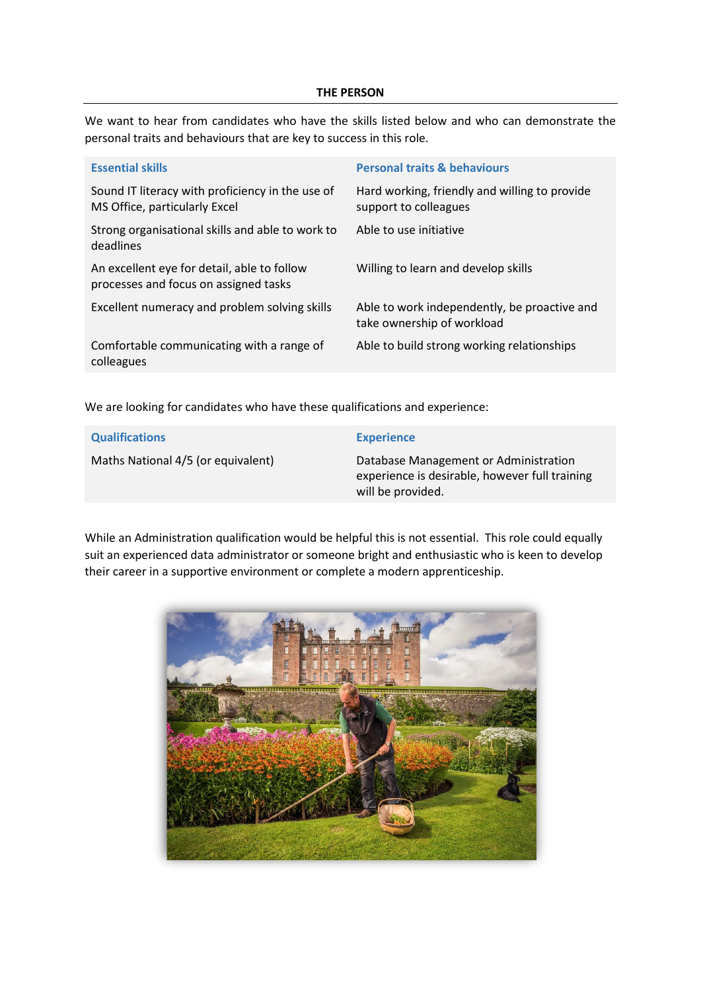#### **THE PERSON**

We want to hear from candidates who have the skills listed below and who can demonstrate the personal traits and behaviours that are key to success in this role.

| <b>Essential skills</b>                                                              | <b>Personal traits &amp; behaviours</b>                                    |
|--------------------------------------------------------------------------------------|----------------------------------------------------------------------------|
| Sound IT literacy with proficiency in the use of<br>MS Office, particularly Excel    | Hard working, friendly and willing to provide<br>support to colleagues     |
| Strong organisational skills and able to work to<br>deadlines                        | Able to use initiative                                                     |
| An excellent eye for detail, able to follow<br>processes and focus on assigned tasks | Willing to learn and develop skills                                        |
| Excellent numeracy and problem solving skills                                        | Able to work independently, be proactive and<br>take ownership of workload |
| Comfortable communicating with a range of<br>colleagues                              | Able to build strong working relationships                                 |

We are looking for candidates who have these qualifications and experience:

| <b>Qualifications</b>              | <b>Experience</b>                                                                                            |
|------------------------------------|--------------------------------------------------------------------------------------------------------------|
| Maths National 4/5 (or equivalent) | Database Management or Administration<br>experience is desirable, however full training<br>will be provided. |

While an Administration qualification would be helpful this is not essential. This role could equally suit an experienced data administrator or someone bright and enthusiastic who is keen to develop their career in a supportive environment or complete a modern apprenticeship.